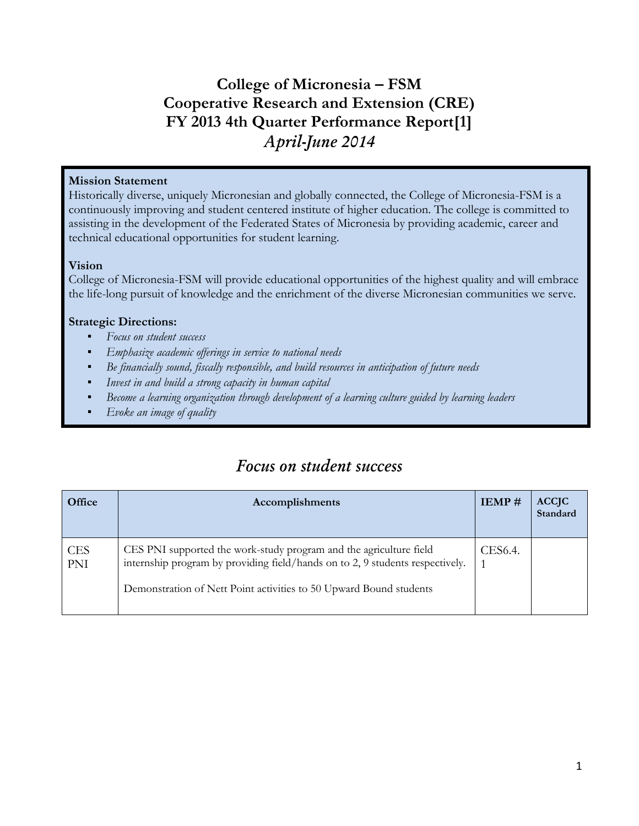### **College of Micronesia – FSM Cooperative Research and Extension (CRE) FY 2013 4th Quarter Performance Report[1]** *April-June 2014*

#### **Mission Statement**

Historically diverse, uniquely Micronesian and globally connected, the College of Micronesia-FSM is a continuously improving and student centered institute of higher education. The college is committed to assisting in the development of the Federated States of Micronesia by providing academic, career and technical educational opportunities for student learning.

#### **Vision**

College of Micronesia-FSM will provide educational opportunities of the highest quality and will embrace the life-long pursuit of knowledge and the enrichment of the diverse Micronesian communities we serve.

#### **Strategic Directions:**

- *Focus on student success*
- *Emphasize academic offerings in service to national needs*
- Be financially sound, fiscally responsible, and build resources in anticipation of future needs
- Invest in and build a strong capacity in human capital
- Become a learning organization *through development of a learning culture guided by learning leaders*
- Evoke an image of quality

### *Focus on student success*

| Office            | IEMP#<br>Accomplishments                                                                                                                                       |  | <b>ACCJC</b><br>Standard |
|-------------------|----------------------------------------------------------------------------------------------------------------------------------------------------------------|--|--------------------------|
| <b>CES</b><br>PNI | CES PNI supported the work-study program and the agriculture field<br>CES6.4.<br>internship program by providing field/hands on to 2, 9 students respectively. |  |                          |
|                   | Demonstration of Nett Point activities to 50 Upward Bound students                                                                                             |  |                          |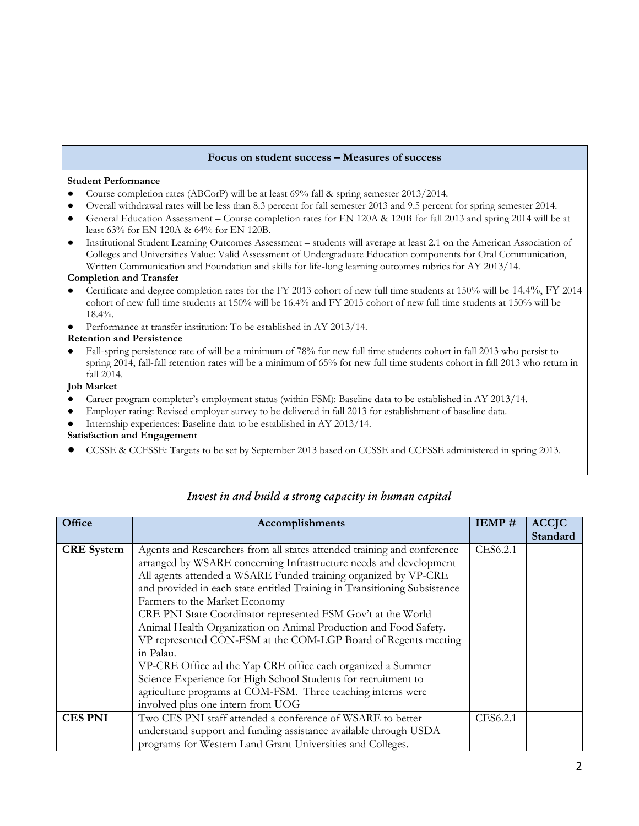#### **Focus on student success – Measures of success**

#### **Student Performance**

- Course completion rates (ABCorP) will be at least 69% fall & spring semester 2013/2014.
- Overall withdrawal rates will be less than 8.3 percent for fall semester 2013 and 9.5 percent for spring semester 2014.
- General Education Assessment Course completion rates for EN 120A & 120B for fall 2013 and spring 2014 will be at least 63% for EN 120A & 64% for EN 120B.
- Institutional Student Learning Outcomes Assessment students will average at least 2.1 on the American Association of Colleges and Universities Value: Valid Assessment of Undergraduate Education components for Oral Communication, Written Communication and Foundation and skills for life-long learning outcomes rubrics for AY 2013/14.

#### **Completion and Transfer**

- Certificate and degree completion rates for the FY 2013 cohort of new full time students at 150% will be 14.4%, FY 2014 cohort of new full time students at 150% will be 16.4% and FY 2015 cohort of new full time students at 150% will be 18.4%.
- Performance at transfer institution: To be established in AY 2013/14.

#### **Retention and Persistence**

Fall-spring persistence rate of will be a minimum of 78% for new full time students cohort in fall 2013 who persist to spring 2014, fall-fall retention rates will be a minimum of 65% for new full time students cohort in fall 2013 who return in fall 2014.

#### **Job Market**

- Career program completer's employment status (within FSM): Baseline data to be established in AY 2013/14.
- Employer rating: Revised employer survey to be delivered in fall 2013 for establishment of baseline data.
- Internship experiences: Baseline data to be established in AY 2013/14.

#### **Satisfaction and Engagement**

● CCSSE & CCFSSE: Targets to be set by September 2013 based on CCSSE and CCFSSE administered in spring 2013.

| Office            | Accomplishments                                                                     | IEMP#    | <b>ACCJC</b> |
|-------------------|-------------------------------------------------------------------------------------|----------|--------------|
|                   |                                                                                     |          | Standard     |
| <b>CRE</b> System | CES6.2.1<br>Agents and Researchers from all states attended training and conference |          |              |
|                   | arranged by WSARE concerning Infrastructure needs and development                   |          |              |
|                   | All agents attended a WSARE Funded training organized by VP-CRE                     |          |              |
|                   | and provided in each state entitled Training in Transitioning Subsistence           |          |              |
|                   | Farmers to the Market Economy                                                       |          |              |
|                   | CRE PNI State Coordinator represented FSM Gov't at the World                        |          |              |
|                   | Animal Health Organization on Animal Production and Food Safety.                    |          |              |
|                   | VP represented CON-FSM at the COM-LGP Board of Regents meeting                      |          |              |
|                   | in Palau.                                                                           |          |              |
|                   | VP-CRE Office ad the Yap CRE office each organized a Summer                         |          |              |
|                   | Science Experience for High School Students for recruitment to                      |          |              |
|                   | agriculture programs at COM-FSM. Three teaching interns were                        |          |              |
|                   | involved plus one intern from UOG                                                   |          |              |
| <b>CES PNI</b>    | Two CES PNI staff attended a conference of WSARE to better                          | CES6.2.1 |              |
|                   | understand support and funding assistance available through USDA                    |          |              |
|                   | programs for Western Land Grant Universities and Colleges.                          |          |              |

#### *Invest in and build a strong capacity in human capital*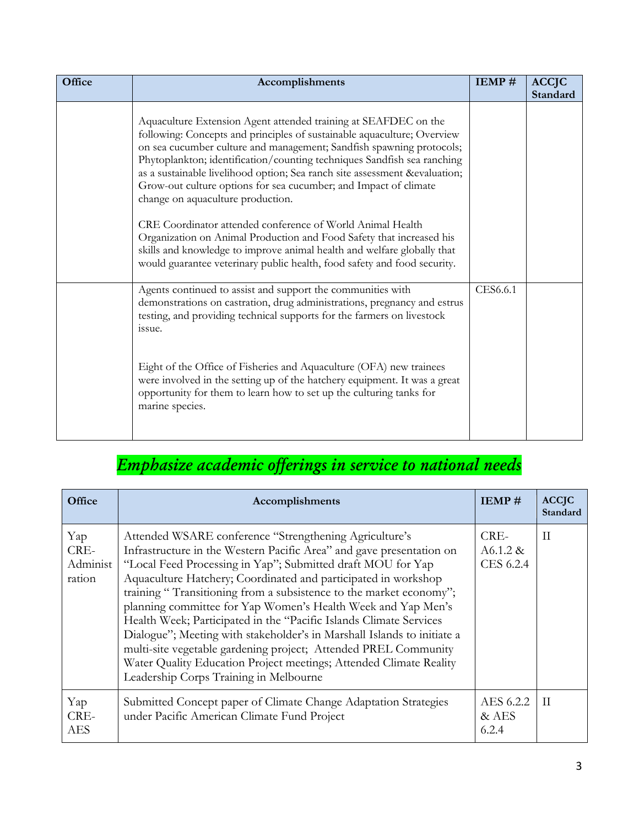| Office | Accomplishments                                                                                                                                                                                                                                                                                                                                                                                                                                                                     | IEMP#    | <b>ACCJC</b><br>Standard |
|--------|-------------------------------------------------------------------------------------------------------------------------------------------------------------------------------------------------------------------------------------------------------------------------------------------------------------------------------------------------------------------------------------------------------------------------------------------------------------------------------------|----------|--------------------------|
|        | Aquaculture Extension Agent attended training at SEAFDEC on the<br>following: Concepts and principles of sustainable aquaculture; Overview<br>on sea cucumber culture and management; Sandfish spawning protocols;<br>Phytoplankton; identification/counting techniques Sandfish sea ranching<br>as a sustainable livelihood option; Sea ranch site assessment &evaluation<br>Grow-out culture options for sea cucumber; and Impact of climate<br>change on aquaculture production. |          |                          |
|        | CRE Coordinator attended conference of World Animal Health<br>Organization on Animal Production and Food Safety that increased his<br>skills and knowledge to improve animal health and welfare globally that<br>would guarantee veterinary public health, food safety and food security.                                                                                                                                                                                           |          |                          |
|        | Agents continued to assist and support the communities with<br>demonstrations on castration, drug administrations, pregnancy and estrus<br>testing, and providing technical supports for the farmers on livestock<br>issue.                                                                                                                                                                                                                                                         | CES6.6.1 |                          |
|        | Eight of the Office of Fisheries and Aquaculture (OFA) new trainees<br>were involved in the setting up of the hatchery equipment. It was a great<br>opportunity for them to learn how to set up the culturing tanks for<br>marine species.                                                                                                                                                                                                                                          |          |                          |

# *Emphasize academic offerings in service to national needs*

| Office                            | Accomplishments                                                                                                                                                                                                                                                                                                                                                                                                                                                                                                                                                                                                                                                                                                                                                                |                               | <b>ACCJC</b><br>Standard |
|-----------------------------------|--------------------------------------------------------------------------------------------------------------------------------------------------------------------------------------------------------------------------------------------------------------------------------------------------------------------------------------------------------------------------------------------------------------------------------------------------------------------------------------------------------------------------------------------------------------------------------------------------------------------------------------------------------------------------------------------------------------------------------------------------------------------------------|-------------------------------|--------------------------|
| Yap<br>CRE-<br>Administ<br>ration | CRE-<br>Attended WSARE conference "Strengthening Agriculture's<br>Infrastructure in the Western Pacific Area" and gave presentation on<br>$A6.1.2 \&$<br>"Local Feed Processing in Yap"; Submitted draft MOU for Yap<br>CES 6.2.4<br>Aquaculture Hatchery; Coordinated and participated in workshop<br>training "Transitioning from a subsistence to the market economy";<br>planning committee for Yap Women's Health Week and Yap Men's<br>Health Week; Participated in the "Pacific Islands Climate Services"<br>Dialogue"; Meeting with stakeholder's in Marshall Islands to initiate a<br>multi-site vegetable gardening project; Attended PREL Community<br>Water Quality Education Project meetings; Attended Climate Reality<br>Leadership Corps Training in Melbourne |                               | П                        |
| Yap<br>CRE-<br><b>AES</b>         | Submitted Concept paper of Climate Change Adaptation Strategies<br>under Pacific American Climate Fund Project                                                                                                                                                                                                                                                                                                                                                                                                                                                                                                                                                                                                                                                                 | AES 6.2.2<br>$&$ AES<br>6.2.4 | ΙI                       |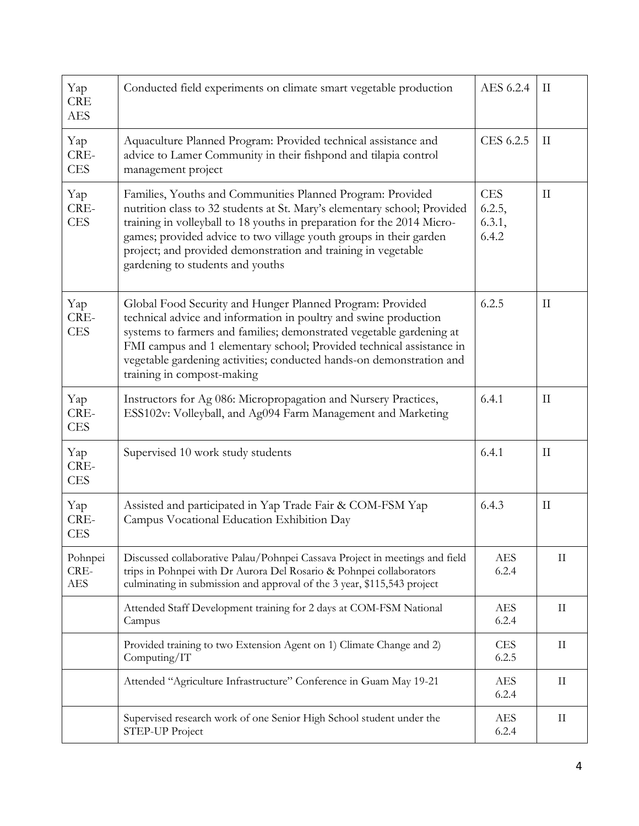| Yap<br><b>CRE</b><br><b>AES</b>                                                         | Conducted field experiments on climate smart vegetable production                                                                                                                                                                                                                                                                                                                                                            |  | $\rm II$      |
|-----------------------------------------------------------------------------------------|------------------------------------------------------------------------------------------------------------------------------------------------------------------------------------------------------------------------------------------------------------------------------------------------------------------------------------------------------------------------------------------------------------------------------|--|---------------|
| Yap<br>CRE-<br><b>CES</b>                                                               | Aquaculture Planned Program: Provided technical assistance and<br>advice to Lamer Community in their fishpond and tilapia control<br>management project                                                                                                                                                                                                                                                                      |  | $\rm II$      |
| Yap<br>CRE-<br><b>CES</b>                                                               | <b>CES</b><br>Families, Youths and Communities Planned Program: Provided<br>nutrition class to 32 students at St. Mary's elementary school; Provided<br>6.2.5,<br>training in volleyball to 18 youths in preparation for the 2014 Micro-<br>games; provided advice to two village youth groups in their garden<br>6.4.2<br>project; and provided demonstration and training in vegetable<br>gardening to students and youths |  | $\prod$       |
| Yap<br>CRE-<br><b>CES</b>                                                               | Global Food Security and Hunger Planned Program: Provided<br>technical advice and information in poultry and swine production<br>systems to farmers and families; demonstrated vegetable gardening at<br>FMI campus and 1 elementary school; Provided technical assistance in<br>vegetable gardening activities; conducted hands-on demonstration and<br>training in compost-making                                          |  | $_{\rm II}$   |
| Yap<br>CRE-<br><b>CES</b>                                                               | Instructors for Ag 086: Micropropagation and Nursery Practices,<br>ESS102v: Volleyball, and Ag094 Farm Management and Marketing                                                                                                                                                                                                                                                                                              |  | $\rm{II}$     |
| Yap<br>CRE-<br><b>CES</b>                                                               | Supervised 10 work study students                                                                                                                                                                                                                                                                                                                                                                                            |  | $\mathcal{I}$ |
| Yap<br>CRE-<br><b>CES</b>                                                               | Assisted and participated in Yap Trade Fair & COM-FSM Yap<br>Campus Vocational Education Exhibition Day                                                                                                                                                                                                                                                                                                                      |  | $\rm II$      |
| Pohnpei<br>CRE-<br><b>AES</b>                                                           | Discussed collaborative Palau/Pohnpei Cassava Project in meetings and field<br>trips in Pohnpei with Dr Aurora Del Rosario & Pohnpei collaborators<br>culminating in submission and approval of the 3 year, \$115,543 project                                                                                                                                                                                                |  | $\rm II$      |
|                                                                                         | Attended Staff Development training for 2 days at COM-FSM National<br>Campus                                                                                                                                                                                                                                                                                                                                                 |  | $\rm II$      |
|                                                                                         | Provided training to two Extension Agent on 1) Climate Change and 2)<br>Computing/IT                                                                                                                                                                                                                                                                                                                                         |  | $\rm II$      |
|                                                                                         | Attended "Agriculture Infrastructure" Conference in Guam May 19-21                                                                                                                                                                                                                                                                                                                                                           |  | $\rm II$      |
| Supervised research work of one Senior High School student under the<br>STEP-UP Project |                                                                                                                                                                                                                                                                                                                                                                                                                              |  | $\rm II$      |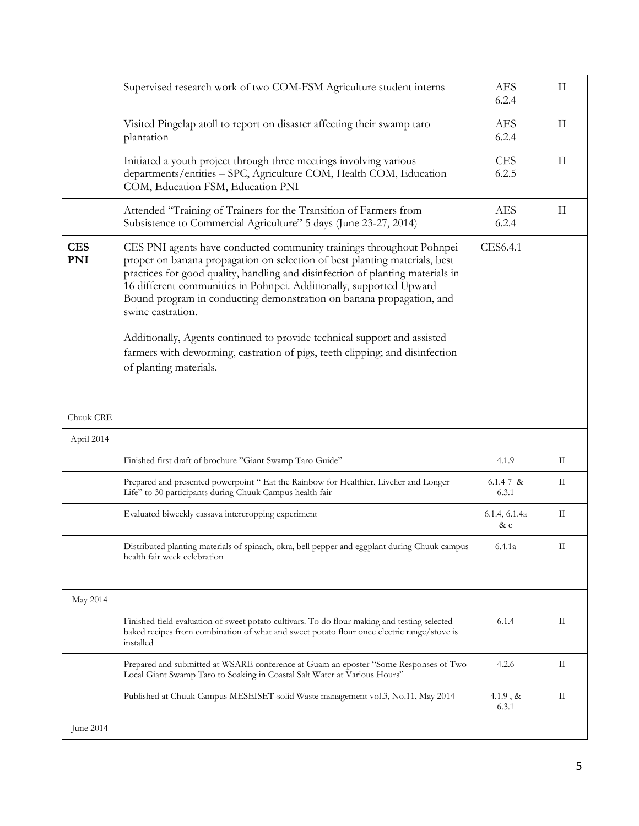|                          | Supervised research work of two COM-FSM Agriculture student interns                                                                                                                                                                                                                                                                                                                                                                                                                                                                                                                            |                       | $\mathbf{I}$ |  |
|--------------------------|------------------------------------------------------------------------------------------------------------------------------------------------------------------------------------------------------------------------------------------------------------------------------------------------------------------------------------------------------------------------------------------------------------------------------------------------------------------------------------------------------------------------------------------------------------------------------------------------|-----------------------|--------------|--|
|                          | Visited Pingelap atoll to report on disaster affecting their swamp taro<br>plantation                                                                                                                                                                                                                                                                                                                                                                                                                                                                                                          | <b>AES</b><br>6.2.4   | $\rm II$     |  |
|                          | Initiated a youth project through three meetings involving various<br>departments/entities - SPC, Agriculture COM, Health COM, Education<br>COM, Education FSM, Education PNI                                                                                                                                                                                                                                                                                                                                                                                                                  |                       |              |  |
|                          | Attended "Training of Trainers for the Transition of Farmers from<br>Subsistence to Commercial Agriculture" 5 days (June 23-27, 2014)                                                                                                                                                                                                                                                                                                                                                                                                                                                          | <b>AES</b><br>6.2.4   | $\rm II$     |  |
| <b>CES</b><br><b>PNI</b> | CES PNI agents have conducted community trainings throughout Pohnpei<br>proper on banana propagation on selection of best planting materials, best<br>practices for good quality, handling and disinfection of planting materials in<br>16 different communities in Pohnpei. Additionally, supported Upward<br>Bound program in conducting demonstration on banana propagation, and<br>swine castration.<br>Additionally, Agents continued to provide technical support and assisted<br>farmers with deworming, castration of pigs, teeth clipping; and disinfection<br>of planting materials. |                       |              |  |
| Chuuk CRE                |                                                                                                                                                                                                                                                                                                                                                                                                                                                                                                                                                                                                |                       |              |  |
| April 2014               |                                                                                                                                                                                                                                                                                                                                                                                                                                                                                                                                                                                                |                       |              |  |
|                          | Finished first draft of brochure "Giant Swamp Taro Guide"                                                                                                                                                                                                                                                                                                                                                                                                                                                                                                                                      | 4.1.9                 | П            |  |
|                          | Prepared and presented powerpoint " Eat the Rainbow for Healthier, Livelier and Longer<br>Life" to 30 participants during Chuuk Campus health fair                                                                                                                                                                                                                                                                                                                                                                                                                                             | 6.1.4 $7 \&$<br>6.3.1 | П            |  |
|                          | Evaluated biweekly cassava intercropping experiment                                                                                                                                                                                                                                                                                                                                                                                                                                                                                                                                            | 6.1.4, 6.1.4a<br>& c  | П            |  |
|                          | Distributed planting materials of spinach, okra, bell pepper and eggplant during Chuuk campus<br>health fair week celebration                                                                                                                                                                                                                                                                                                                                                                                                                                                                  | 6.4.1a                | П            |  |
| May 2014                 |                                                                                                                                                                                                                                                                                                                                                                                                                                                                                                                                                                                                |                       |              |  |
|                          | Finished field evaluation of sweet potato cultivars. To do flour making and testing selected<br>baked recipes from combination of what and sweet potato flour once electric range/stove is<br>installed                                                                                                                                                                                                                                                                                                                                                                                        | 6.1.4                 | П            |  |
|                          | Prepared and submitted at WSARE conference at Guam an eposter "Some Responses of Two<br>Local Giant Swamp Taro to Soaking in Coastal Salt Water at Various Hours"                                                                                                                                                                                                                                                                                                                                                                                                                              | 4.2.6                 | П            |  |
|                          | Published at Chuuk Campus MESEISET-solid Waste management vol.3, No.11, May 2014                                                                                                                                                                                                                                                                                                                                                                                                                                                                                                               | $4.1.9, \&$<br>6.3.1  | П            |  |
| June 2014                |                                                                                                                                                                                                                                                                                                                                                                                                                                                                                                                                                                                                |                       |              |  |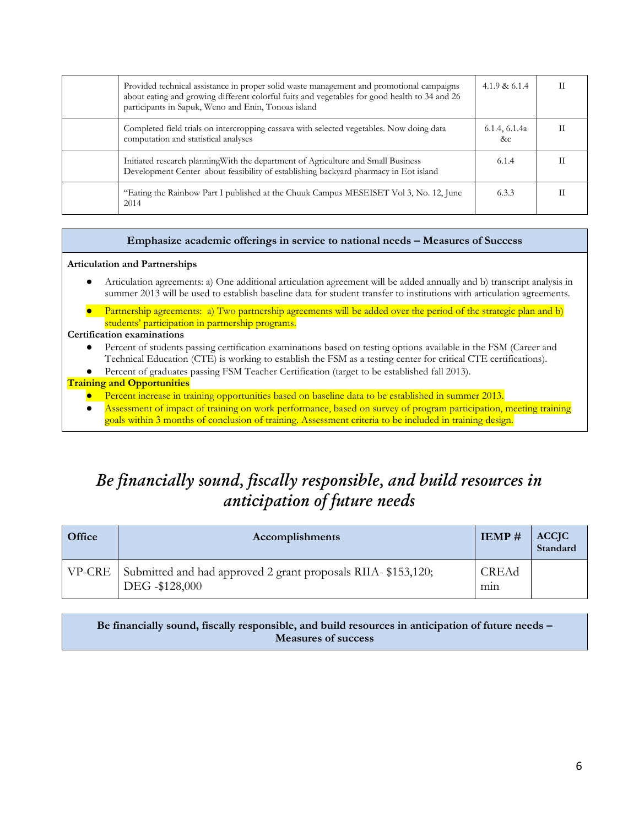| Provided technical assistance in proper solid waste management and promotional campaigns<br>about eating and growing different colorful fuits and vegetables for good health to 34 and 26<br>participants in Sapuk, Weno and Enin, Tonoas island | 4.1.9 & $6.1.4$     |  |
|--------------------------------------------------------------------------------------------------------------------------------------------------------------------------------------------------------------------------------------------------|---------------------|--|
| Completed field trials on intercropping cassava with selected vegetables. Now doing data<br>computation and statistical analyses                                                                                                                 | 6.1.4, 6.1.4a<br>&c |  |
| Initiated research planning With the department of Agriculture and Small Business<br>Development Center about feasibility of establishing backyard pharmacy in Eot island                                                                        | 6.1.4               |  |
| "Eating the Rainbow Part I published at the Chuuk Campus MESEISET Vol 3, No. 12, June<br>2014                                                                                                                                                    | 6.3.3               |  |

#### **Emphasize academic offerings in service to national needs – Measures of Success**

#### **Articulation and Partnerships**

- Articulation agreements: a) One additional articulation agreement will be added annually and b) transcript analysis in summer 2013 will be used to establish baseline data for student transfer to institutions with articulation agreements.
- Partnership agreements: a) Two partnership agreements will be added over the period of the strategic plan and b) students' participation in partnership programs.

#### **Certification examinations**

- Percent of students passing certification examinations based on testing options available in the FSM (Career and Technical Education (CTE) is working to establish the FSM as a testing center for critical CTE certifications).
- Percent of graduates passing FSM Teacher Certification (target to be established fall 2013).

#### **Training and Opportunities**

- Percent increase in training opportunities based on baseline data to be established in summer 2013.
- Assessment of impact of training on work performance, based on survey of program participation, meeting training goals within 3 months of conclusion of training. Assessment criteria to be included in training design.

## *Be financially sound, fiscally responsible, and build resources in anticipation of future needs*

| Office        | Accomplishments                                                                |              | <b>ACCJC</b><br>Standard |
|---------------|--------------------------------------------------------------------------------|--------------|--------------------------|
| <b>VP-CRE</b> | Submitted and had approved 2 grant proposals RIIA-\$153,120;<br>DEG -\$128,000 | CREAd<br>mın |                          |

#### **Be financially sound, fiscally responsible, and build resources in anticipation of future needs – Measures of success**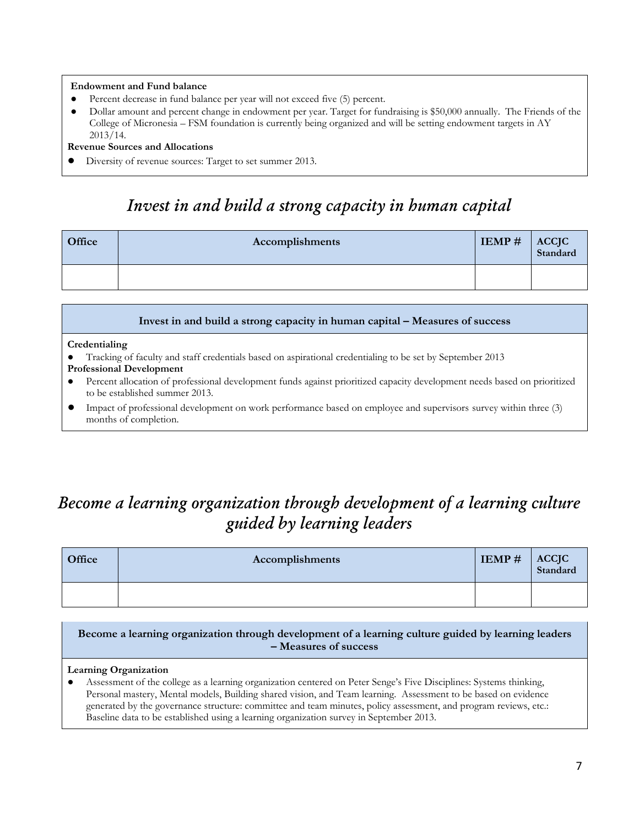#### **Endowment and Fund balance**

- Percent decrease in fund balance per year will not exceed five (5) percent.
- Dollar amount and percent change in endowment per year. Target for fundraising is \$50,000 annually. The Friends of the College of Micronesia – FSM foundation is currently being organized and will be setting endowment targets in AY 2013/14.

#### **Revenue Sources and Allocations**

Diversity of revenue sources: Target to set summer 2013.

### *Invest in and build a strong capacity in human capital*

| Office | Accomplishments |  | ACCJC<br>Standard |
|--------|-----------------|--|-------------------|
|        |                 |  |                   |

#### **Invest in and build a strong capacity in human capital – Measures of success**

#### **Credentialing**

- Tracking of faculty and staff credentials based on aspirational credentialing to be set by September 2013 **Professional Development**
- Percent allocation of professional development funds against prioritized capacity development needs based on prioritized to be established summer 2013.
- Impact of professional development on work performance based on employee and supervisors survey within three (3) months of completion.

# *Become a learning organization through development of a learning culture guided by learning leaders*

| Office | Accomplishments |  | ACCJC<br>Standard |
|--------|-----------------|--|-------------------|
|        |                 |  |                   |

**Become a learning organization through development of a learning culture guided by learning leaders – Measures of success**

#### **Learning Organization**

Assessment of the college as a learning organization centered on Peter Senge's Five Disciplines: Systems thinking, Personal mastery, Mental models, Building shared vision, and Team learning. Assessment to be based on evidence generated by the governance structure: committee and team minutes, policy assessment, and program reviews, etc.: Baseline data to be established using a learning organization survey in September 2013.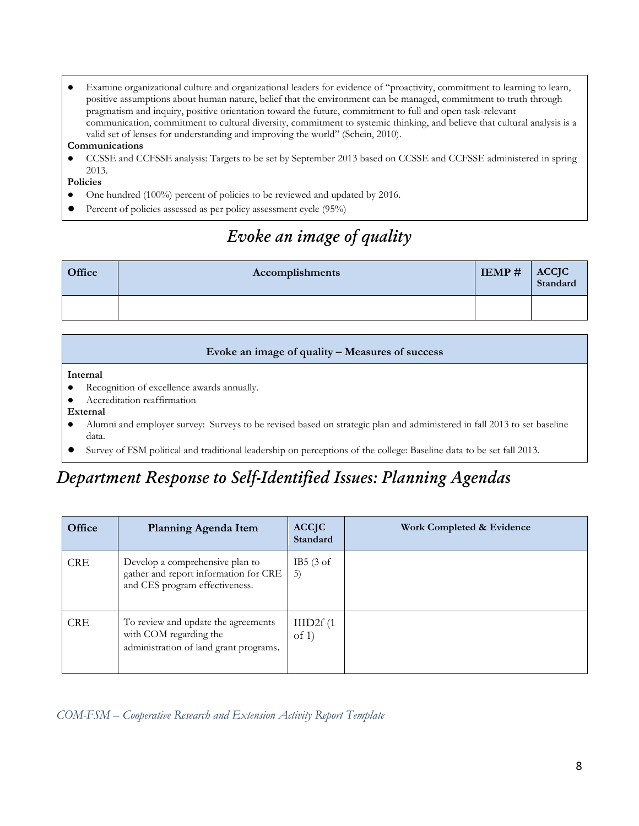● Examine organizational culture and organizational leaders for evidence of "proactivity, commitment to learning to learn, positive assumptions about human nature, belief that the environment can be managed, commitment to truth through pragmatism and inquiry, positive orientation toward the future, commitment to full and open task-relevant communication, commitment to cultural diversity, commitment to systemic thinking, and believe that cultural analysis is a valid set of lenses for understanding and improving the world" (Schein, 2010).

#### **Communications**

CCSSE and CCFSSE analysis: Targets to be set by September 2013 based on CCSSE and CCFSSE administered in spring 2013.

#### **Policies**

- One hundred (100%) percent of policies to be reviewed and updated by 2016.
- Percent of policies assessed as per policy assessment cycle (95%)

# *Evoke an image of quality*

| Office | Accomplishments | IEMP# | ACCJC<br>Standard |
|--------|-----------------|-------|-------------------|
|        |                 |       |                   |

#### **Evoke an image of quality – Measures of success**

**Internal** 

- Recognition of excellence awards annually.
- Accreditation reaffirmation
- **External**
- Alumni and employer survey: Surveys to be revised based on strategic plan and administered in fall 2013 to set baseline data.
- Survey of FSM political and traditional leadership on perceptions of the college: Baseline data to be set fall 2013.

# *Department Response to Self-Identified Issues: Planning Agendas*

| Office     | Planning Agenda Item                                                                                       | <b>ACCJC</b><br>Standard             | Work Completed & Evidence |
|------------|------------------------------------------------------------------------------------------------------------|--------------------------------------|---------------------------|
| <b>CRE</b> | Develop a comprehensive plan to<br>gather and report information for CRE<br>and CES program effectiveness. | IB5 $(3 \text{ of }$<br>5)           |                           |
| <b>CRE</b> | To review and update the agreements<br>with COM regarding the<br>administration of land grant programs.    | $III$ D <sub>2f</sub> $(1)$<br>of 1) |                           |

*COM-FSM – Cooperative Research and Extension Activity Report Template*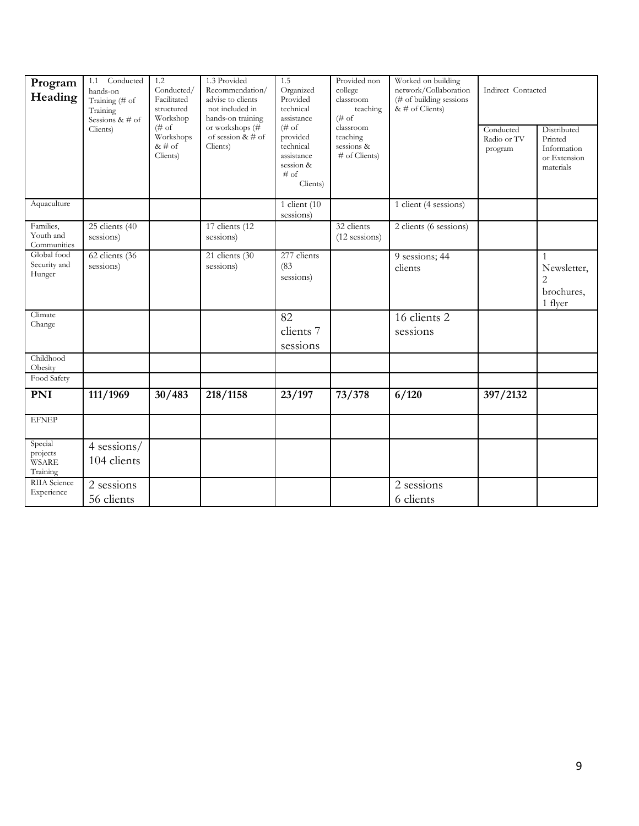| Program<br>Heading                       | Conducted<br>1.1<br>hands-on<br>Training (# of<br>Training<br>Sessions & $#$ of<br>Clients) | 1.2<br>Conducted/<br>Facilitated<br>structured<br>Workshop<br>$(\# \circ f)$ | 1.3 Provided<br>Recommendation/<br>advise to clients<br>not included in<br>hands-on training<br>or workshops (# | 1.5<br>Organized<br>Provided<br>technical<br>assistance<br>$(\# \circ f)$ | Provided non<br>college<br>classroom<br>teaching<br>$(\# \circ f)$<br>classroom | Worked on building<br>network/Collaboration<br>(# of building sessions<br>& $\#$ of Clients) | Indirect Contacted<br>Distributed<br>Conducted |                                                                        |
|------------------------------------------|---------------------------------------------------------------------------------------------|------------------------------------------------------------------------------|-----------------------------------------------------------------------------------------------------------------|---------------------------------------------------------------------------|---------------------------------------------------------------------------------|----------------------------------------------------------------------------------------------|------------------------------------------------|------------------------------------------------------------------------|
|                                          |                                                                                             | Workshops<br>& # of<br>Clients)                                              | of session $& 4$ of<br>Clients)                                                                                 | provided<br>technical<br>assistance<br>session &<br>$#$ of<br>Clients)    | teaching<br>sessions &<br># of Clients)                                         |                                                                                              | Radio or TV<br>program                         | Printed<br>Information<br>or Extension<br>materials                    |
| Aquaculture                              |                                                                                             |                                                                              |                                                                                                                 | 1 client $(10)$<br>sessions)                                              |                                                                                 | 1 client (4 sessions)                                                                        |                                                |                                                                        |
| Families,<br>Youth and<br>Communities    | $25$ clients (40<br>sessions)                                                               |                                                                              | 17 clients (12<br>sessions)                                                                                     |                                                                           | 32 clients<br>$(12$ sessions)                                                   | 2 clients (6 sessions)                                                                       |                                                |                                                                        |
| Global food<br>Security and<br>Hunger    | 62 clients (36<br>sessions)                                                                 |                                                                              | 21 clients (30<br>sessions)                                                                                     | 277 clients<br>(83)<br>sessions)                                          |                                                                                 | 9 sessions; 44<br>clients                                                                    |                                                | $\mathbf{1}$<br>Newsletter,<br>$\overline{2}$<br>brochures,<br>1 flyer |
| Climate<br>Change                        |                                                                                             |                                                                              |                                                                                                                 | 82<br>clients 7<br>sessions                                               |                                                                                 | 16 clients 2<br>sessions                                                                     |                                                |                                                                        |
| Childhood<br>Obesity                     |                                                                                             |                                                                              |                                                                                                                 |                                                                           |                                                                                 |                                                                                              |                                                |                                                                        |
| Food Safety                              |                                                                                             |                                                                              |                                                                                                                 |                                                                           |                                                                                 |                                                                                              |                                                |                                                                        |
| <b>PNI</b>                               | 111/1969                                                                                    | 30/483                                                                       | 218/1158                                                                                                        | 23/197                                                                    | 73/378                                                                          | 6/120                                                                                        | 397/2132                                       |                                                                        |
| <b>EFNEP</b>                             |                                                                                             |                                                                              |                                                                                                                 |                                                                           |                                                                                 |                                                                                              |                                                |                                                                        |
| Special<br>projects<br>WSARE<br>Training | 4 sessions/<br>104 clients                                                                  |                                                                              |                                                                                                                 |                                                                           |                                                                                 |                                                                                              |                                                |                                                                        |
| RIIA Science<br>Experience               | 2 sessions<br>56 clients                                                                    |                                                                              |                                                                                                                 |                                                                           |                                                                                 | 2 sessions<br>6 clients                                                                      |                                                |                                                                        |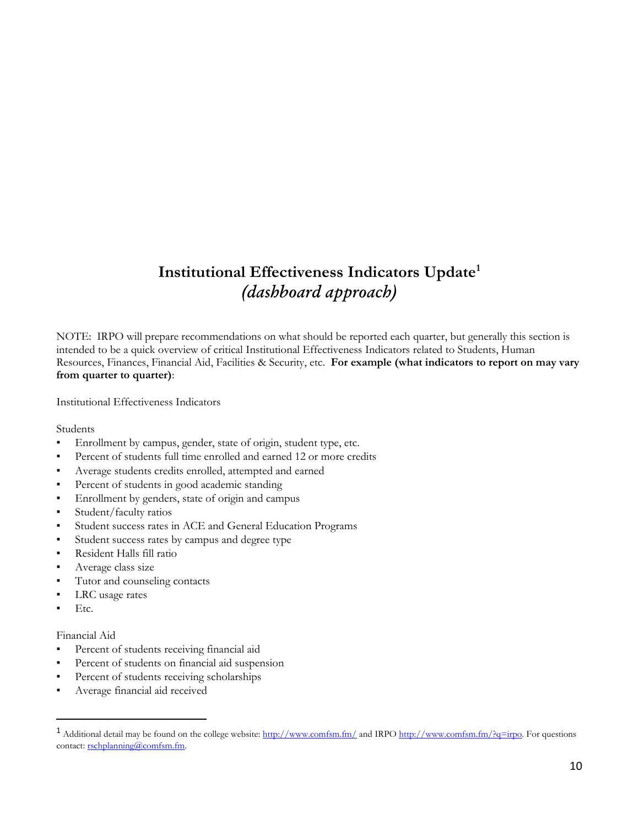### **Institutional Effectiveness Indicators Update<sup>1</sup>** *(dashboard approach)*

NOTE: IRPO will prepare recommendations on what should be reported each quarter, but generally this section is intended to be a quick overview of critical Institutional Effectiveness Indicators related to Students, Human Resources, Finances, Financial Aid, Facilities & Security, etc. **For example (what indicators to report on may vary from quarter to quarter)**:

Institutional Effectiveness Indicators

Students

- Enrollment by campus, gender, state of origin, student type, etc.
- Percent of students full time enrolled and earned 12 or more credits
- Average students credits enrolled, attempted and earned
- Percent of students in good academic standing
- Enrollment by genders, state of origin and campus
- Student/faculty ratios
- Student success rates in ACE and General Education Programs
- Student success rates by campus and degree type
- Resident Halls fill ratio
- Average class size
- Tutor and counseling contacts
- LRC usage rates
- Etc.

 $\overline{a}$ 

#### Financial Aid

- Percent of students receiving financial aid
- Percent of students on financial aid suspension
- Percent of students receiving scholarships
- Average financial aid received

<sup>&</sup>lt;sup>1</sup> Additional detail may be found on the college website:<http://www.comfsm.fm/> and IRP[O http://www.comfsm.fm/?q=irpo.](http://www.comfsm.fm/?q=irpo) For questions contact: [rschplanning@comfsm.fm.](mailto:rschplanning@comfsm.fm)